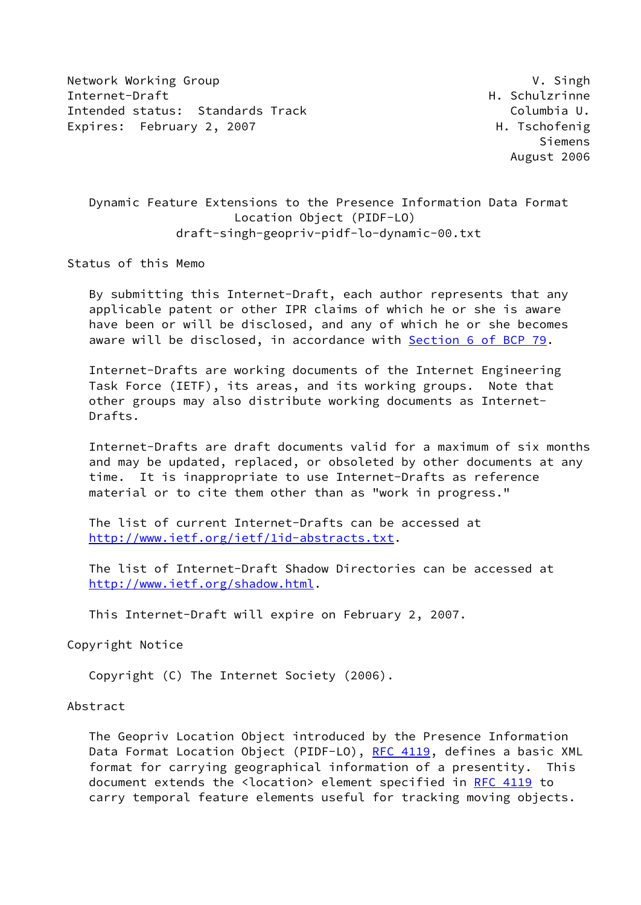Network Working Group **V. Singh** Internet-Draft **H. Schulzrinne** Intended status: Standards Track Columbia U. Expires: February 2, 2007 H. Tschofenig

 Siemens August 2006

# Dynamic Feature Extensions to the Presence Information Data Format Location Object (PIDF-LO) draft-singh-geopriv-pidf-lo-dynamic-00.txt

Status of this Memo

 By submitting this Internet-Draft, each author represents that any applicable patent or other IPR claims of which he or she is aware have been or will be disclosed, and any of which he or she becomes aware will be disclosed, in accordance with Section [6 of BCP 79.](https://datatracker.ietf.org/doc/pdf/bcp79#section-6)

 Internet-Drafts are working documents of the Internet Engineering Task Force (IETF), its areas, and its working groups. Note that other groups may also distribute working documents as Internet- Drafts.

 Internet-Drafts are draft documents valid for a maximum of six months and may be updated, replaced, or obsoleted by other documents at any time. It is inappropriate to use Internet-Drafts as reference material or to cite them other than as "work in progress."

 The list of current Internet-Drafts can be accessed at <http://www.ietf.org/ietf/1id-abstracts.txt>.

 The list of Internet-Draft Shadow Directories can be accessed at <http://www.ietf.org/shadow.html>.

This Internet-Draft will expire on February 2, 2007.

Copyright Notice

Copyright (C) The Internet Society (2006).

#### Abstract

 The Geopriv Location Object introduced by the Presence Information Data Format Location Object (PIDF-LO), [RFC 4119,](https://datatracker.ietf.org/doc/pdf/rfc4119) defines a basic XML format for carrying geographical information of a presentity. This document extends the <location> element specified in [RFC 4119](https://datatracker.ietf.org/doc/pdf/rfc4119) to carry temporal feature elements useful for tracking moving objects.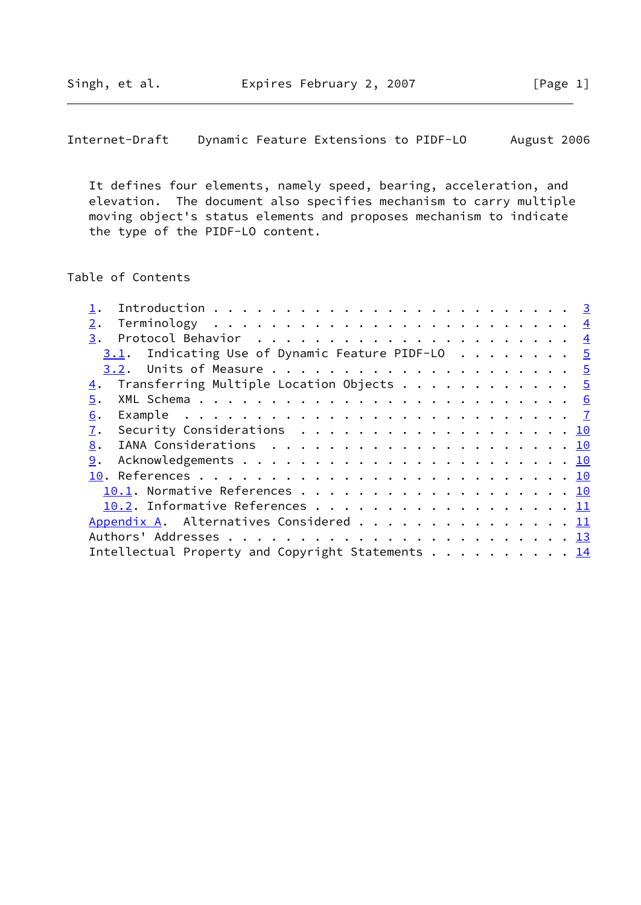Internet-Draft Dynamic Feature Extensions to PIDF-LO August 2006

 It defines four elements, namely speed, bearing, acceleration, and elevation. The document also specifies mechanism to carry multiple moving object's status elements and proposes mechanism to indicate the type of the PIDF-LO content.

# Table of Contents

| 2.                                                         |  |
|------------------------------------------------------------|--|
| 3.                                                         |  |
| $3.1$ . Indicating Use of Dynamic Feature PIDF-LO 5        |  |
|                                                            |  |
| $\underline{4}$ . Transferring Multiple Location Objects 5 |  |
| 5.                                                         |  |
| 6.                                                         |  |
| Security Considerations 10<br>7.                           |  |
| 8.                                                         |  |
| 9.                                                         |  |
|                                                            |  |
| 10.1. Normative References 10                              |  |
| 10.2. Informative References 11                            |  |
| Appendix A. Alternatives Considered 11                     |  |
|                                                            |  |
| Intellectual Property and Copyright Statements 14          |  |
|                                                            |  |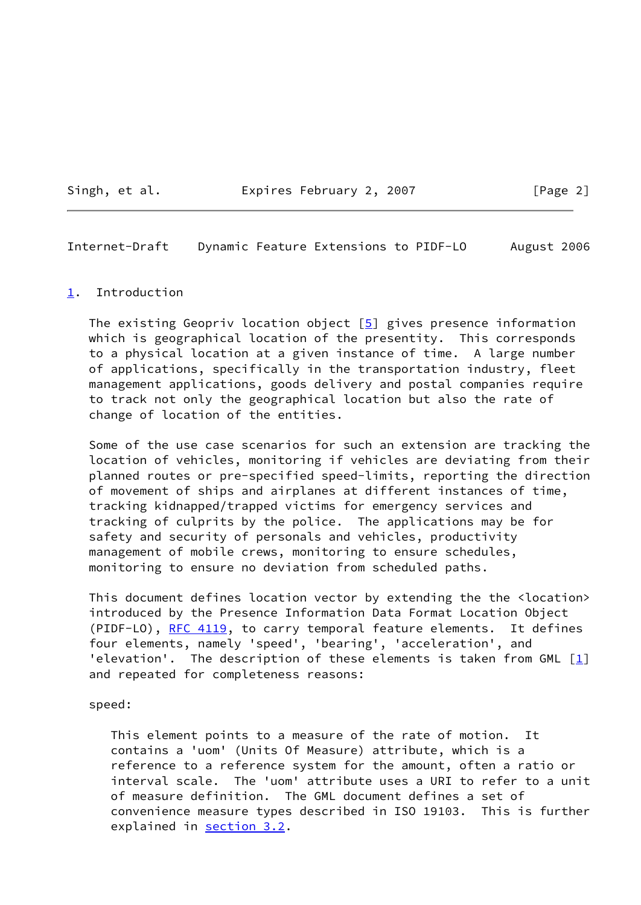Singh, et al. **Expires February 2, 2007** [Page 2]

<span id="page-2-1"></span>Internet-Draft Dynamic Feature Extensions to PIDF-LO August 2006

#### <span id="page-2-0"></span>[1](#page-2-0). Introduction

The existing Geopriv location object  $[5]$  gives presence information which is geographical location of the presentity. This corresponds to a physical location at a given instance of time. A large number of applications, specifically in the transportation industry, fleet management applications, goods delivery and postal companies require to track not only the geographical location but also the rate of change of location of the entities.

 Some of the use case scenarios for such an extension are tracking the location of vehicles, monitoring if vehicles are deviating from their planned routes or pre-specified speed-limits, reporting the direction of movement of ships and airplanes at different instances of time, tracking kidnapped/trapped victims for emergency services and tracking of culprits by the police. The applications may be for safety and security of personals and vehicles, productivity management of mobile crews, monitoring to ensure schedules, monitoring to ensure no deviation from scheduled paths.

 This document defines location vector by extending the the <location> introduced by the Presence Information Data Format Location Object (PIDF-LO), [RFC 4119,](https://datatracker.ietf.org/doc/pdf/rfc4119) to carry temporal feature elements. It defines four elements, namely 'speed', 'bearing', 'acceleration', and 'elevation'. The description of these elements is taken from GML  $[1]$  $[1]$ and repeated for completeness reasons:

#### speed:

 This element points to a measure of the rate of motion. It contains a 'uom' (Units Of Measure) attribute, which is a reference to a reference system for the amount, often a ratio or interval scale. The 'uom' attribute uses a URI to refer to a unit of measure definition. The GML document defines a set of convenience measure types described in ISO 19103. This is further explained in [section 3.2](#page-4-3).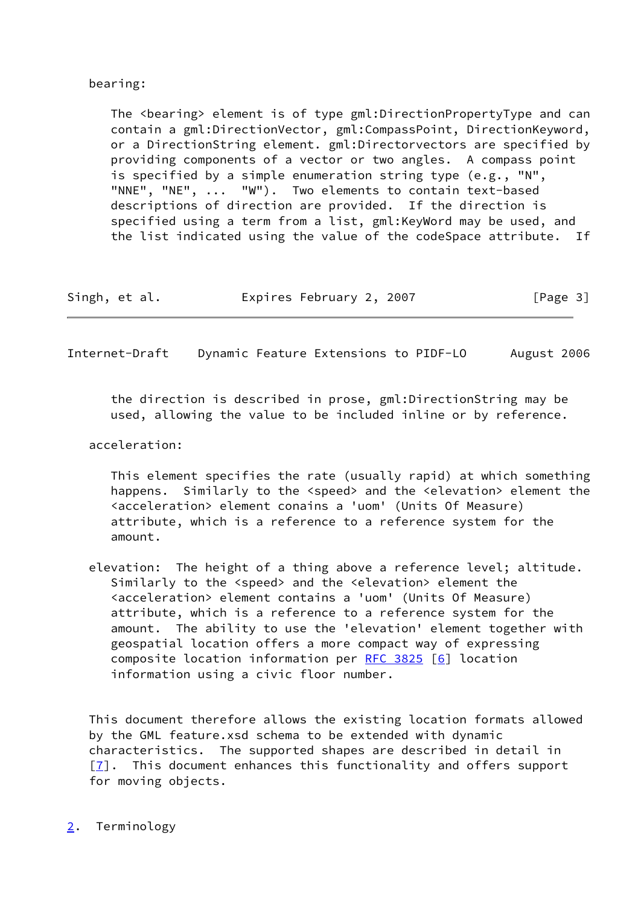### bearing:

The <bearing> element is of type gml:DirectionPropertyType and can contain a gml:DirectionVector, gml:CompassPoint, DirectionKeyword, or a DirectionString element. gml:Directorvectors are specified by providing components of a vector or two angles. A compass point is specified by a simple enumeration string type (e.g., "N", "NNE", "NE", ... "W"). Two elements to contain text-based descriptions of direction are provided. If the direction is specified using a term from a list, gml:KeyWord may be used, and the list indicated using the value of the codeSpace attribute. If

|  | Singh, et al. | Expires February 2, 2007 |  | [Page 3] |
|--|---------------|--------------------------|--|----------|
|--|---------------|--------------------------|--|----------|

<span id="page-3-1"></span>Internet-Draft Dynamic Feature Extensions to PIDF-LO August 2006

 the direction is described in prose, gml:DirectionString may be used, allowing the value to be included inline or by reference.

#### acceleration:

 This element specifies the rate (usually rapid) at which something happens. Similarly to the <speed> and the <elevation> element the <acceleration> element conains a 'uom' (Units Of Measure) attribute, which is a reference to a reference system for the amount.

 elevation: The height of a thing above a reference level; altitude. Similarly to the <speed> and the <elevation> element the <acceleration> element contains a 'uom' (Units Of Measure) attribute, which is a reference to a reference system for the amount. The ability to use the 'elevation' element together with geospatial location offers a more compact way of expressing composite location information per [RFC 3825](https://datatracker.ietf.org/doc/pdf/rfc3825) [\[6](#page-11-4)] location information using a civic floor number.

 This document therefore allows the existing location formats allowed by the GML feature.xsd schema to be extended with dynamic characteristics. The supported shapes are described in detail in  $[7]$  $[7]$ . This document enhances this functionality and offers support for moving objects.

# <span id="page-3-0"></span>[2](#page-3-0). Terminology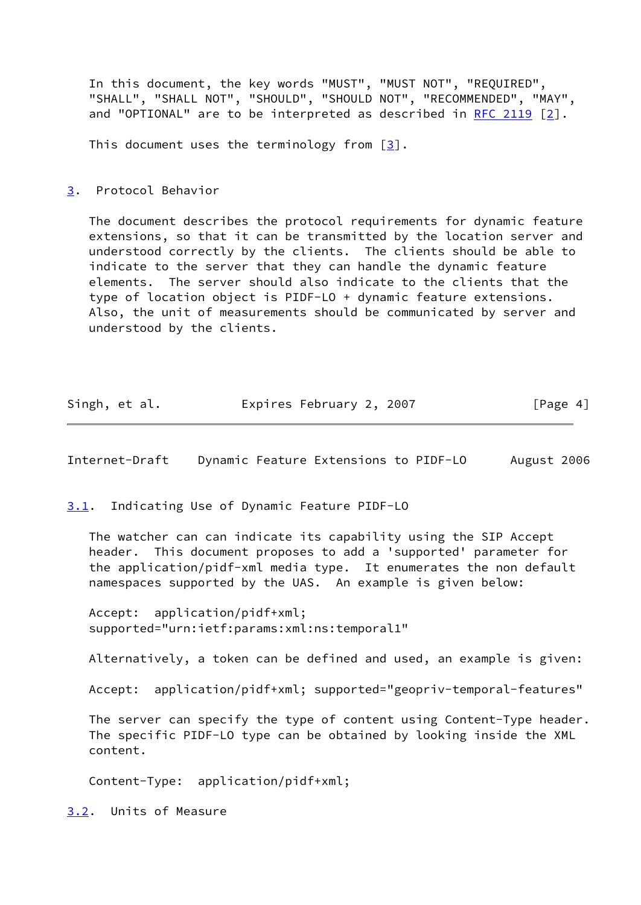In this document, the key words "MUST", "MUST NOT", "REQUIRED", "SHALL", "SHALL NOT", "SHOULD", "SHOULD NOT", "RECOMMENDED", "MAY", and "OPTIONAL" are to be interpreted as described in [RFC 2119](https://datatracker.ietf.org/doc/pdf/rfc2119)  $\lceil 2 \rceil$ .

This document uses the terminology from  $\lceil 3 \rceil$ .

<span id="page-4-0"></span>[3](#page-4-0). Protocol Behavior

 The document describes the protocol requirements for dynamic feature extensions, so that it can be transmitted by the location server and understood correctly by the clients. The clients should be able to indicate to the server that they can handle the dynamic feature elements. The server should also indicate to the clients that the type of location object is PIDF-LO + dynamic feature extensions. Also, the unit of measurements should be communicated by server and understood by the clients.

| Singh, et al. | Expires February 2, 2007 | [Page 4] |
|---------------|--------------------------|----------|
|---------------|--------------------------|----------|

<span id="page-4-2"></span>Internet-Draft Dynamic Feature Extensions to PIDF-LO August 2006

<span id="page-4-1"></span>[3.1](#page-4-1). Indicating Use of Dynamic Feature PIDF-LO

 The watcher can can indicate its capability using the SIP Accept header. This document proposes to add a 'supported' parameter for the application/pidf-xml media type. It enumerates the non default namespaces supported by the UAS. An example is given below:

 Accept: application/pidf+xml; supported="urn:ietf:params:xml:ns:temporal1"

Alternatively, a token can be defined and used, an example is given:

Accept: application/pidf+xml; supported="geopriv-temporal-features"

 The server can specify the type of content using Content-Type header. The specific PIDF-LO type can be obtained by looking inside the XML content.

Content-Type: application/pidf+xml;

<span id="page-4-3"></span>[3.2](#page-4-3). Units of Measure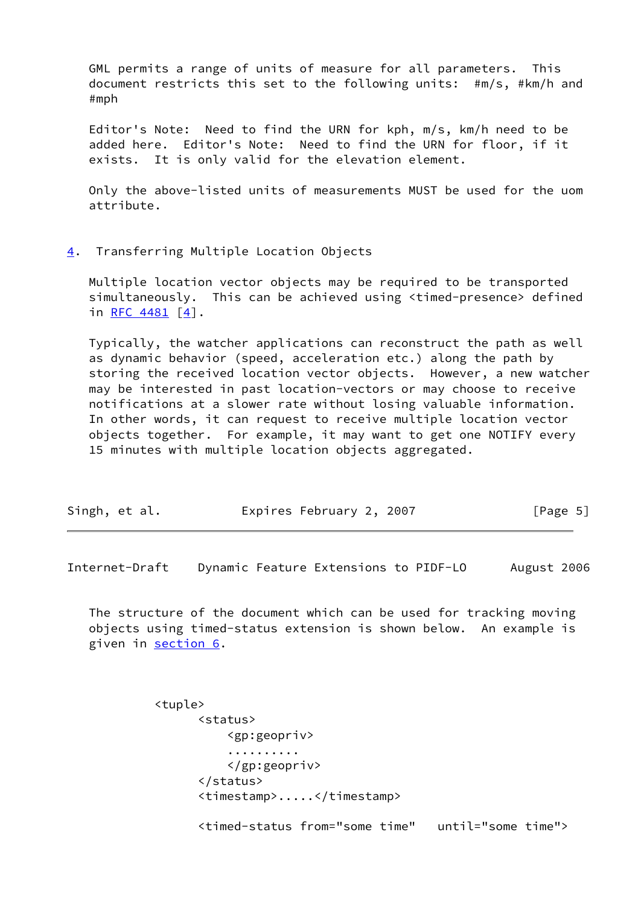GML permits a range of units of measure for all parameters. This document restricts this set to the following units: #m/s, #km/h and #mph

 Editor's Note: Need to find the URN for kph, m/s, km/h need to be added here. Editor's Note: Need to find the URN for floor, if it exists. It is only valid for the elevation element.

 Only the above-listed units of measurements MUST be used for the uom attribute.

#### <span id="page-5-0"></span>[4](#page-5-0). Transferring Multiple Location Objects

 Multiple location vector objects may be required to be transported simultaneously. This can be achieved using <timed-presence> defined in RFC  $4481$   $[4]$  $[4]$ .

 Typically, the watcher applications can reconstruct the path as well as dynamic behavior (speed, acceleration etc.) along the path by storing the received location vector objects. However, a new watcher may be interested in past location-vectors or may choose to receive notifications at a slower rate without losing valuable information. In other words, it can request to receive multiple location vector objects together. For example, it may want to get one NOTIFY every 15 minutes with multiple location objects aggregated.

| Singh, et al. |  |  | Expires February 2, 2007 |  |  | [Page 5] |  |
|---------------|--|--|--------------------------|--|--|----------|--|
|---------------|--|--|--------------------------|--|--|----------|--|

<span id="page-5-1"></span>Internet-Draft Dynamic Feature Extensions to PIDF-LO August 2006

 The structure of the document which can be used for tracking moving objects using timed-status extension is shown below. An example is given in [section 6](#page-7-0).

> <tuple> <status> <gp:geopriv> .......... </gp:geopriv> </status> <timestamp>.....</timestamp> <timed-status from="some time" until="some time">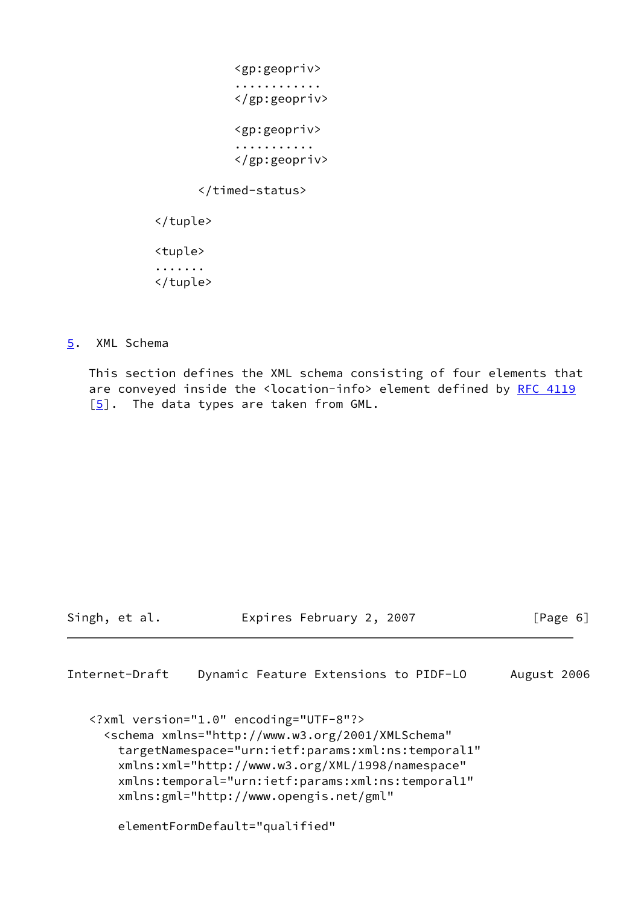<gp:geopriv> ............ </gp:geopriv> <gp:geopriv> ........... </gp:geopriv> </timed-status> </tuple> <tuple> ....... </tuple>

### <span id="page-6-0"></span>[5](#page-6-0). XML Schema

 This section defines the XML schema consisting of four elements that are conveyed inside the <location-info> element defined by [RFC 4119](https://datatracker.ietf.org/doc/pdf/rfc4119)  $[5]$  $[5]$ . The data types are taken from GML.

Singh, et al. **Expires February 2, 2007** [Page 6]

```
Internet-Draft Dynamic Feature Extensions to PIDF-LO August 2006
```

```
 <?xml version="1.0" encoding="UTF-8"?>
   <schema xmlns="http://www.w3.org/2001/XMLSchema"
     targetNamespace="urn:ietf:params:xml:ns:temporal1"
     xmlns:xml="http://www.w3.org/XML/1998/namespace"
     xmlns:temporal="urn:ietf:params:xml:ns:temporal1"
     xmlns:gml="http://www.opengis.net/gml"
     elementFormDefault="qualified"
```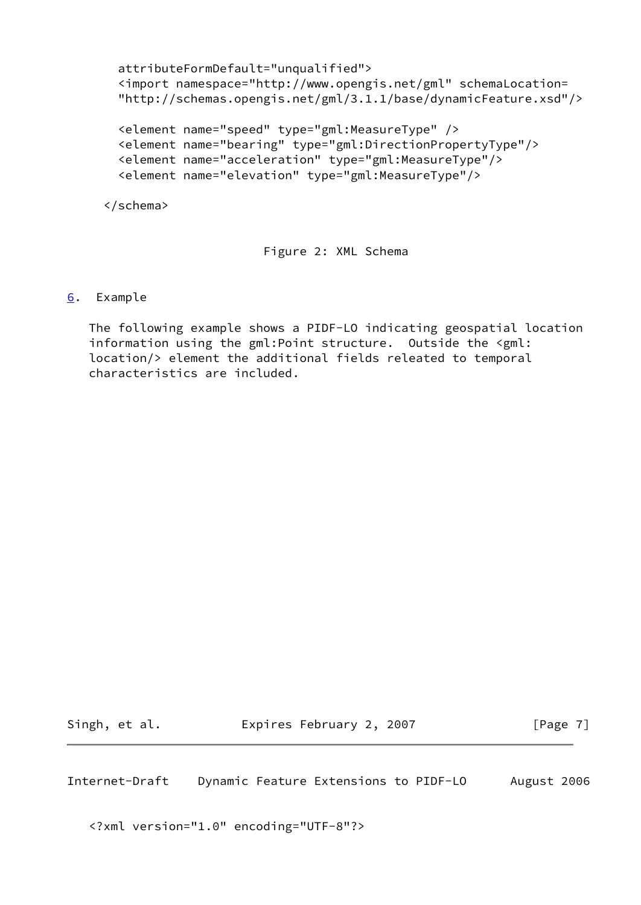```
 attributeFormDefault="unqualified">
 <import namespace="http://www.opengis.net/gml" schemaLocation=
 "http://schemas.opengis.net/gml/3.1.1/base/dynamicFeature.xsd"/>
 <element name="speed" type="gml:MeasureType" />
 <element name="bearing" type="gml:DirectionPropertyType"/>
 <element name="acceleration" type="gml:MeasureType"/>
 <element name="elevation" type="gml:MeasureType"/>
```

```
 </schema>
```
Figure 2: XML Schema

# <span id="page-7-0"></span>[6](#page-7-0). Example

 The following example shows a PIDF-LO indicating geospatial location information using the gml:Point structure. Outside the <gml: location/> element the additional fields releated to temporal characteristics are included.

Singh, et al. **Expires February 2, 2007** [Page 7]

Internet-Draft Dynamic Feature Extensions to PIDF-LO August 2006

<?xml version="1.0" encoding="UTF-8"?>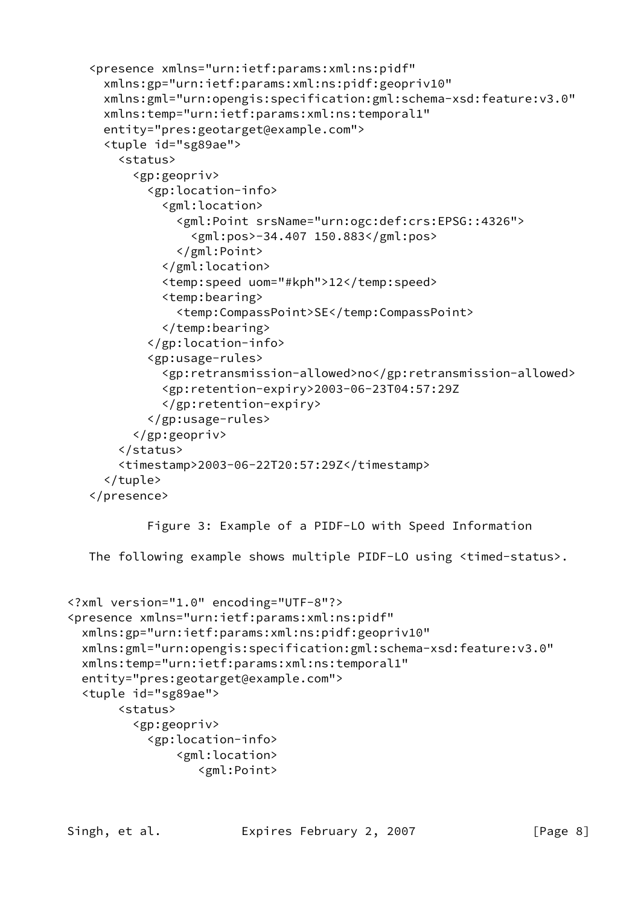```
 <presence xmlns="urn:ietf:params:xml:ns:pidf"
      xmlns:gp="urn:ietf:params:xml:ns:pidf:geopriv10"
      xmlns:gml="urn:opengis:specification:gml:schema-xsd:feature:v3.0"
      xmlns:temp="urn:ietf:params:xml:ns:temporal1"
      entity="pres:geotarget@example.com">
      <tuple id="sg89ae">
        <status>
          <gp:geopriv>
            <gp:location-info>
              <gml:location>
                <gml:Point srsName="urn:ogc:def:crs:EPSG::4326">
                  <gml:pos>-34.407 150.883</gml:pos>
                </gml:Point>
              </gml:location>
              <temp:speed uom="#kph">12</temp:speed>
              <temp:bearing>
                <temp:CompassPoint>SE</temp:CompassPoint>
              </temp:bearing>
            </gp:location-info>
            <gp:usage-rules>
              <gp:retransmission-allowed>no</gp:retransmission-allowed>
              <gp:retention-expiry>2003-06-23T04:57:29Z
              </gp:retention-expiry>
            </gp:usage-rules>
          </gp:geopriv>
        </status>
        <timestamp>2003-06-22T20:57:29Z</timestamp>
      </tuple>
    </presence>
            Figure 3: Example of a PIDF-LO with Speed Information
   The following example shows multiple PIDF-LO using <timed-status>.
<?xml version="1.0" encoding="UTF-8"?>
<presence xmlns="urn:ietf:params:xml:ns:pidf"
  xmlns:gp="urn:ietf:params:xml:ns:pidf:geopriv10"
  xmlns:gml="urn:opengis:specification:gml:schema-xsd:feature:v3.0"
  xmlns:temp="urn:ietf:params:xml:ns:temporal1"
  entity="pres:geotarget@example.com">
```

```
 <tuple id="sg89ae">
```

```
 <status>
   <gp:geopriv>
```

```
 <gp:location-info>
     <gml:location>
        <gml:Point>
```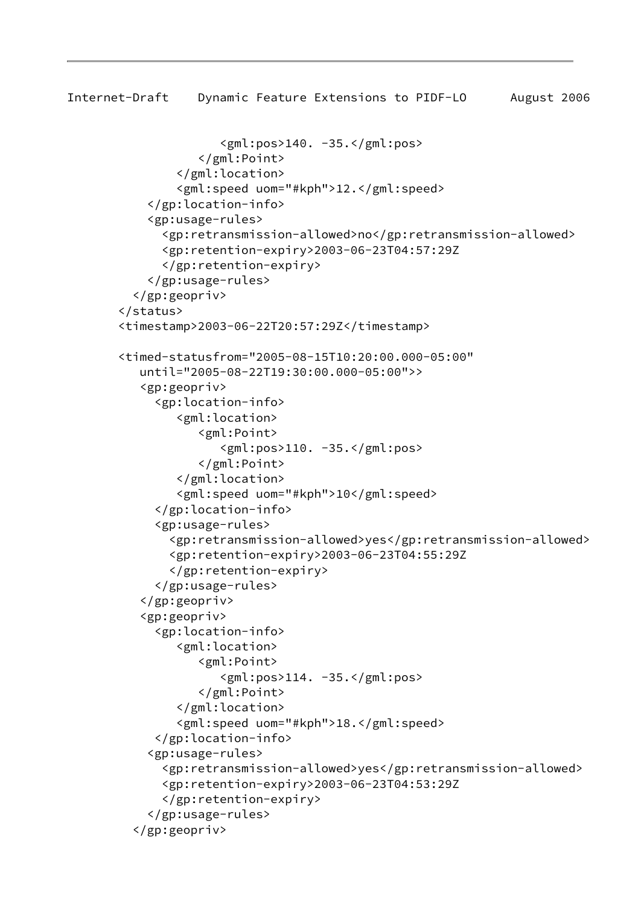```
Internet-Draft Dynamic Feature Extensions to PIDF-LO August 2006
                       <gml:pos>140. -35.</gml:pos>
                    </gml:Point>
                 </gml:location>
                 <gml:speed uom="#kph">12.</gml:speed>
            </gp:location-info>
            <gp:usage-rules>
               <gp:retransmission-allowed>no</gp:retransmission-allowed>
               <gp:retention-expiry>2003-06-23T04:57:29Z
               </gp:retention-expiry>
            </gp:usage-rules>
          </gp:geopriv>
        </status>
        <timestamp>2003-06-22T20:57:29Z</timestamp>
        <timed-statusfrom="2005-08-15T10:20:00.000-05:00"
           until="2005-08-22T19:30:00.000-05:00">>
           <gp:geopriv>
             <gp:location-info>
                 <gml:location>
                    <gml:Point>
                       <gml:pos>110. -35.</gml:pos>
                    </gml:Point>
                 </gml:location>
                 <gml:speed uom="#kph">10</gml:speed>
              </gp:location-info>
              <gp:usage-rules>
                <gp:retransmission-allowed>yes</gp:retransmission-allowed>
                <gp:retention-expiry>2003-06-23T04:55:29Z
                </gp:retention-expiry>
              </gp:usage-rules>
           </gp:geopriv>
           <gp:geopriv>
             <gp:location-info>
                 <gml:location>
                    <gml:Point>
                       <gml:pos>114. -35.</gml:pos>
                    </gml:Point>
                 </gml:location>
                 <gml:speed uom="#kph">18.</gml:speed>
              </gp:location-info>
            <gp:usage-rules>
               <gp:retransmission-allowed>yes</gp:retransmission-allowed>
               <gp:retention-expiry>2003-06-23T04:53:29Z
               </gp:retention-expiry>
            </gp:usage-rules>
          </gp:geopriv>
```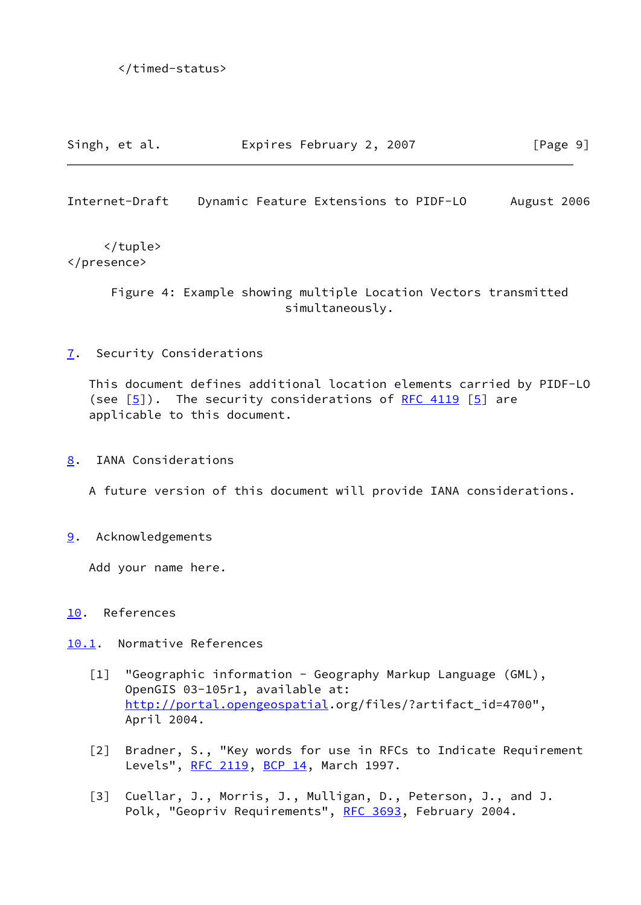| Singh, et al. | Expires February 2, 2007 | [Page 9] |
|---------------|--------------------------|----------|
|---------------|--------------------------|----------|

<span id="page-10-1"></span>Internet-Draft Dynamic Feature Extensions to PIDF-LO August 2006

 </tuple> </presence>

> Figure 4: Example showing multiple Location Vectors transmitted simultaneously.

### <span id="page-10-0"></span>[7](#page-10-0). Security Considerations

 This document defines additional location elements carried by PIDF-LO (see  $[5]$ ). The security considerations of [RFC 4119](https://datatracker.ietf.org/doc/pdf/rfc4119)  $[5]$  $[5]$  are applicable to this document.

<span id="page-10-2"></span>[8](#page-10-2). IANA Considerations

A future version of this document will provide IANA considerations.

<span id="page-10-3"></span>[9](#page-10-3). Acknowledgements

Add your name here.

# <span id="page-10-4"></span>[10.](#page-10-4) References

<span id="page-10-5"></span>[10.1](#page-10-5). Normative References

- <span id="page-10-6"></span>[1] "Geographic information - Geography Markup Language (GML), OpenGIS 03-105r1, available at: <http://portal.opengeospatial>.org/files/?artifact\_id=4700", April 2004.
- <span id="page-10-7"></span> [2] Bradner, S., "Key words for use in RFCs to Indicate Requirement Levels", [RFC 2119](https://datatracker.ietf.org/doc/pdf/rfc2119), [BCP 14](https://datatracker.ietf.org/doc/pdf/bcp14), March 1997.
- <span id="page-10-8"></span> [3] Cuellar, J., Morris, J., Mulligan, D., Peterson, J., and J. Polk, "Geopriv Requirements", [RFC 3693,](https://datatracker.ietf.org/doc/pdf/rfc3693) February 2004.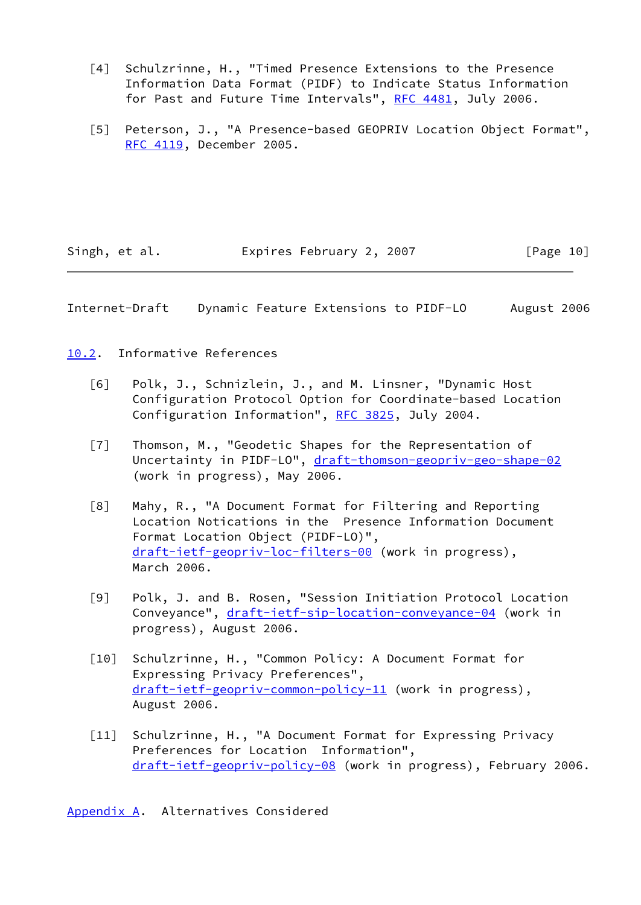- <span id="page-11-6"></span> [4] Schulzrinne, H., "Timed Presence Extensions to the Presence Information Data Format (PIDF) to Indicate Status Information for Past and Future Time Intervals", [RFC 4481](https://datatracker.ietf.org/doc/pdf/rfc4481), July 2006.
- <span id="page-11-3"></span> [5] Peterson, J., "A Presence-based GEOPRIV Location Object Format", [RFC 4119](https://datatracker.ietf.org/doc/pdf/rfc4119), December 2005.

Singh, et al. Expires February 2, 2007 [Page 10]

<span id="page-11-1"></span>Internet-Draft Dynamic Feature Extensions to PIDF-LO August 2006

<span id="page-11-0"></span>[10.2](#page-11-0). Informative References

- <span id="page-11-4"></span> [6] Polk, J., Schnizlein, J., and M. Linsner, "Dynamic Host Configuration Protocol Option for Coordinate-based Location Configuration Information", [RFC 3825](https://datatracker.ietf.org/doc/pdf/rfc3825), July 2004.
- <span id="page-11-5"></span> [7] Thomson, M., "Geodetic Shapes for the Representation of Uncertainty in PIDF-LO", [draft-thomson-geopriv-geo-shape-02](https://datatracker.ietf.org/doc/pdf/draft-thomson-geopriv-geo-shape-02) (work in progress), May 2006.
- [8] Mahy, R., "A Document Format for Filtering and Reporting Location Notications in the Presence Information Document Format Location Object (PIDF-LO)", [draft-ietf-geopriv-loc-filters-00](https://datatracker.ietf.org/doc/pdf/draft-ietf-geopriv-loc-filters-00) (work in progress), March 2006.
- [9] Polk, J. and B. Rosen, "Session Initiation Protocol Location Conveyance", [draft-ietf-sip-location-conveyance-04](https://datatracker.ietf.org/doc/pdf/draft-ietf-sip-location-conveyance-04) (work in progress), August 2006.
- [10] Schulzrinne, H., "Common Policy: A Document Format for Expressing Privacy Preferences", [draft-ietf-geopriv-common-policy-11](https://datatracker.ietf.org/doc/pdf/draft-ietf-geopriv-common-policy-11) (work in progress), August 2006.
- [11] Schulzrinne, H., "A Document Format for Expressing Privacy Preferences for Location Information", [draft-ietf-geopriv-policy-08](https://datatracker.ietf.org/doc/pdf/draft-ietf-geopriv-policy-08) (work in progress), February 2006.

<span id="page-11-2"></span>[Appendix A.](#page-11-2) Alternatives Considered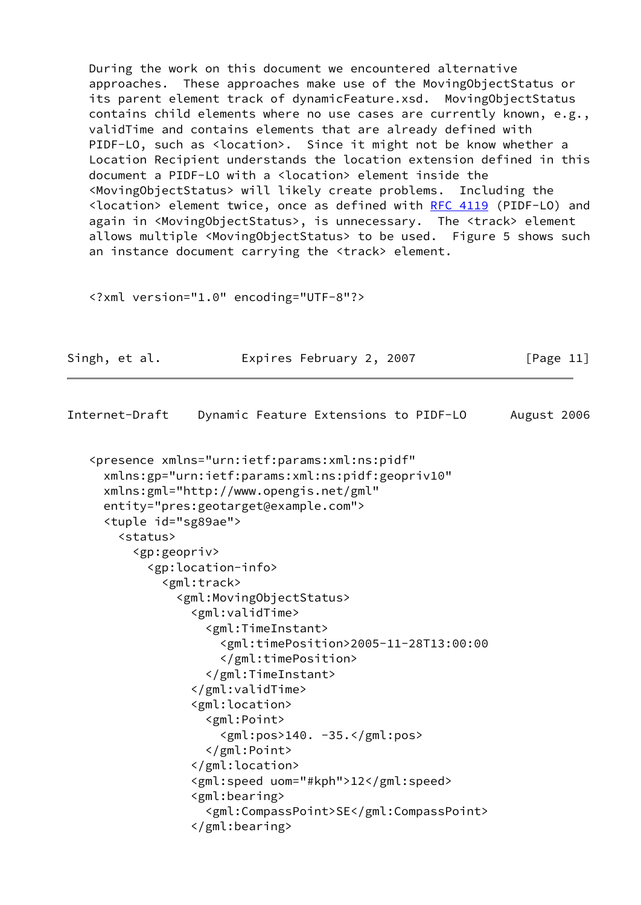During the work on this document we encountered alternative approaches. These approaches make use of the MovingObjectStatus or its parent element track of dynamicFeature.xsd. MovingObjectStatus contains child elements where no use cases are currently known, e.g., validTime and contains elements that are already defined with PIDF-LO, such as <location>. Since it might not be know whether a Location Recipient understands the location extension defined in this document a PIDF-LO with a <location> element inside the <MovingObjectStatus> will likely create problems. Including the <location> element twice, once as defined with [RFC 4119](https://datatracker.ietf.org/doc/pdf/rfc4119) (PIDF-LO) and again in <MovingObjectStatus>, is unnecessary. The <track> element allows multiple <MovingObjectStatus> to be used. Figure 5 shows such an instance document carrying the <track> element.

<?xml version="1.0" encoding="UTF-8"?>

| Singh, et al. | Expires February 2, 2007 | [Page 11] |
|---------------|--------------------------|-----------|
|               |                          |           |

Internet-Draft Dynamic Feature Extensions to PIDF-LO August 2006

```
 <presence xmlns="urn:ietf:params:xml:ns:pidf"
   xmlns:gp="urn:ietf:params:xml:ns:pidf:geopriv10"
  xmlns:gml="http://www.opengis.net/gml"
   entity="pres:geotarget@example.com">
   <tuple id="sg89ae">
     <status>
       <gp:geopriv>
         <gp:location-info>
           <gml:track>
             <gml:MovingObjectStatus>
                <gml:validTime>
                  <gml:TimeInstant>
                    <gml:timePosition>2005-11-28T13:00:00
                    </gml:timePosition>
                  </gml:TimeInstant>
               </gml:validTime>
                <gml:location>
                  <gml:Point>
                    <gml:pos>140. -35.</gml:pos>
                  </gml:Point>
                </gml:location>
                <gml:speed uom="#kph">12</gml:speed>
                <gml:bearing>
                  <gml:CompassPoint>SE</gml:CompassPoint>
                </gml:bearing>
```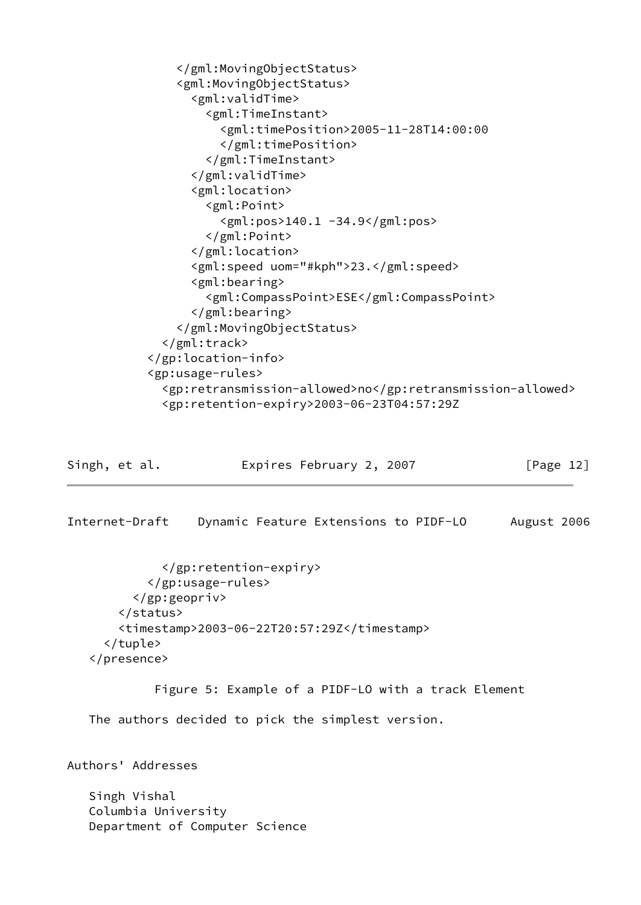```
 </gml:MovingObjectStatus>
                <gml:MovingObjectStatus>
                  <gml:validTime>
                    <gml:TimeInstant>
                      <gml:timePosition>2005-11-28T14:00:00
                      </gml:timePosition>
                    </gml:TimeInstant>
                  </gml:validTime>
                  <gml:location>
                    <gml:Point>
                      <gml:pos>140.1 -34.9</gml:pos>
                    </gml:Point>
                  </gml:location>
                  <gml:speed uom="#kph">23.</gml:speed>
                  <gml:bearing>
                    <gml:CompassPoint>ESE</gml:CompassPoint>
                  </gml:bearing>
                </gml:MovingObjectStatus>
              </gml:track>
            </gp:location-info>
            <gp:usage-rules>
              <gp:retransmission-allowed>no</gp:retransmission-allowed>
              <gp:retention-expiry>2003-06-23T04:57:29Z
Singh, et al. Expires February 2, 2007 [Page 12]
Internet-Draft Dynamic Feature Extensions to PIDF-LO August 2006
              </gp:retention-expiry>
            </gp:usage-rules>
          </gp:geopriv>
        </status>
        <timestamp>2003-06-22T20:57:29Z</timestamp>
      </tuple>
    </presence>
             Figure 5: Example of a PIDF-LO with a track Element
    The authors decided to pick the simplest version.
Authors' Addresses
    Singh Vishal
    Columbia University
    Department of Computer Science
```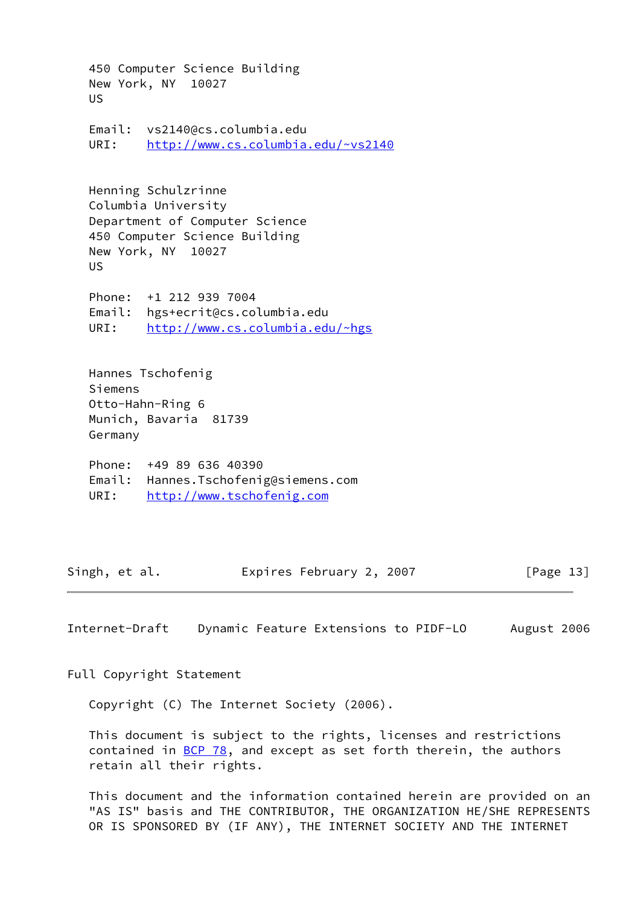450 Computer Science Building New York, NY 10027 US Email: vs2140@cs.columbia.edu URI: <http://www.cs.columbia.edu/~vs2140> Henning Schulzrinne Columbia University Department of Computer Science 450 Computer Science Building New York, NY 10027 US Phone: +1 212 939 7004 Email: hgs+ecrit@cs.columbia.edu URI: <http://www.cs.columbia.edu/~hgs> Hannes Tschofenig Siemens Otto-Hahn-Ring 6 Munich, Bavaria 81739 Germany Phone: +49 89 636 40390 Email: Hannes.Tschofenig@siemens.com URI: <http://www.tschofenig.com>

Singh, et al. **Expires February 2, 2007** [Page 13]

<span id="page-14-0"></span>Internet-Draft Dynamic Feature Extensions to PIDF-LO August 2006

Full Copyright Statement

Copyright (C) The Internet Society (2006).

 This document is subject to the rights, licenses and restrictions contained in  $BCP$  78, and except as set forth therein, the authors retain all their rights.

 This document and the information contained herein are provided on an "AS IS" basis and THE CONTRIBUTOR, THE ORGANIZATION HE/SHE REPRESENTS OR IS SPONSORED BY (IF ANY), THE INTERNET SOCIETY AND THE INTERNET